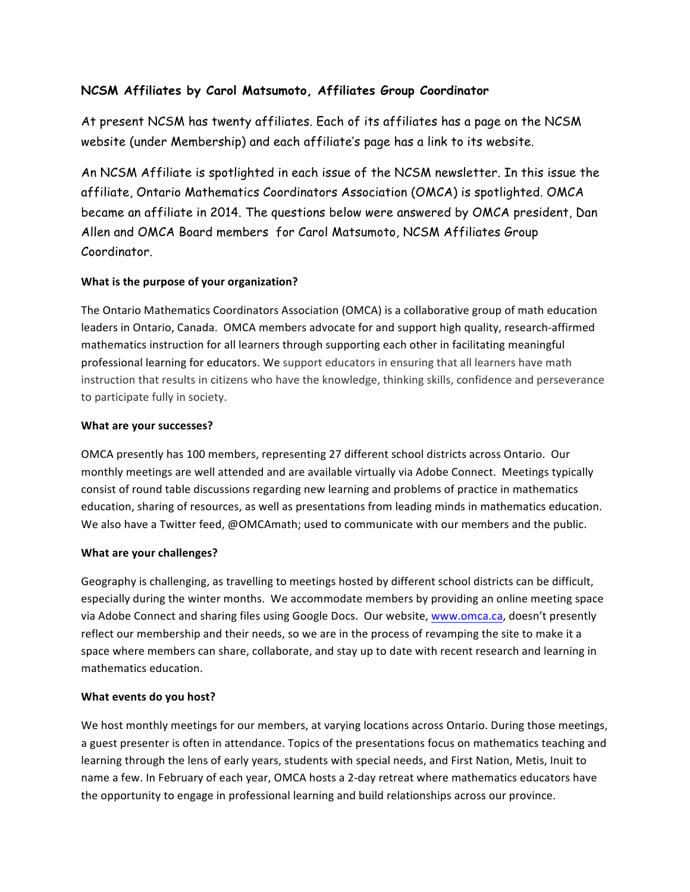# **NCSM Affiliates by Carol Matsumoto, Affiliates Group Coordinator**

At present NCSM has twenty affiliates. Each of its affiliates has a page on the NCSM website (under Membership) and each affiliate's page has a link to its website.

An NCSM Affiliate is spotlighted in each issue of the NCSM newsletter. In this issue the affiliate, Ontario Mathematics Coordinators Association (OMCA) is spotlighted. OMCA became an affiliate in 2014. The questions below were answered by OMCA president, Dan Allen and OMCA Board members for Carol Matsumoto, NCSM Affiliates Group Coordinator.

## **What is the purpose of your organization?**

The Ontario Mathematics Coordinators Association (OMCA) is a collaborative group of math education leaders in Ontario, Canada. OMCA members advocate for and support high quality, research-affirmed mathematics instruction for all learners through supporting each other in facilitating meaningful professional learning for educators. We support educators in ensuring that all learners have math instruction that results in citizens who have the knowledge, thinking skills, confidence and perseverance to participate fully in society.

#### **What are your successes?**

OMCA presently has 100 members, representing 27 different school districts across Ontario. Our monthly meetings are well attended and are available virtually via Adobe Connect. Meetings typically consist of round table discussions regarding new learning and problems of practice in mathematics education, sharing of resources, as well as presentations from leading minds in mathematics education. We also have a Twitter feed, @OMCAmath; used to communicate with our members and the public.

## **What are your challenges?**

Geography is challenging, as travelling to meetings hosted by different school districts can be difficult, especially during the winter months. We accommodate members by providing an online meeting space via Adobe Connect and sharing files using Google Docs. Our website, www.omca.ca, doesn't presently reflect our membership and their needs, so we are in the process of revamping the site to make it a space where members can share, collaborate, and stay up to date with recent research and learning in mathematics education. 

## **What events do you host?**

We host monthly meetings for our members, at varying locations across Ontario. During those meetings, a guest presenter is often in attendance. Topics of the presentations focus on mathematics teaching and learning through the lens of early years, students with special needs, and First Nation, Metis, Inuit to name a few. In February of each year, OMCA hosts a 2-day retreat where mathematics educators have the opportunity to engage in professional learning and build relationships across our province.